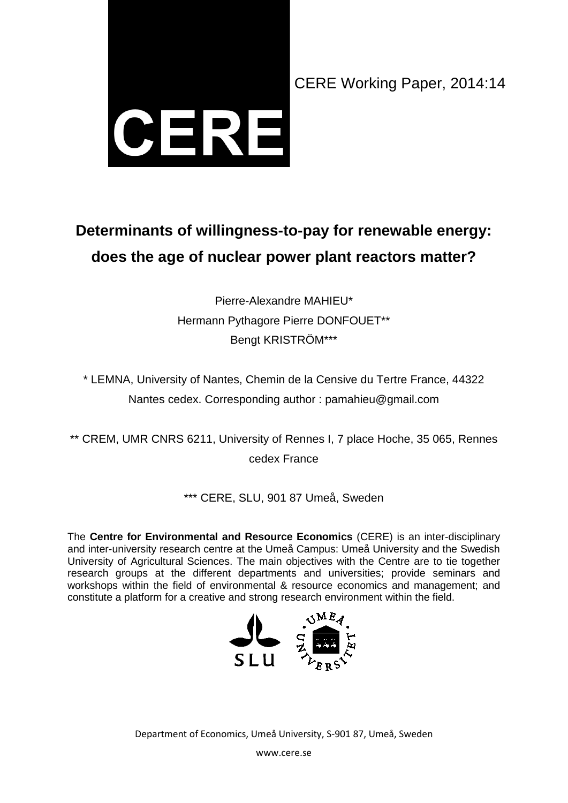

# **Determinants of willingness-to-pay for renewable energy: does the age of nuclear power plant reactors matter?**

Pierre-Alexandre MAHIEU\* Hermann Pythagore Pierre DONFOUET\*\* Bengt KRISTRÖM\*\*\*

\* LEMNA, University of Nantes, Chemin de la Censive du Tertre France, 44322 Nantes cedex. Corresponding author : pamahieu@gmail.com

\*\* CREM, UMR CNRS 6211, University of Rennes I, 7 place Hoche, 35 065, Rennes cedex France

\*\*\* CERE, SLU, 901 87 Umeå, Sweden

The **Centre for Environmental and Resource Economics** (CERE) is an inter-disciplinary and inter-university research centre at the Umeå Campus: Umeå University and the Swedish University of Agricultural Sciences. The main objectives with the Centre are to tie together research groups at the different departments and universities; provide seminars and workshops within the field of environmental & resource economics and management; and constitute a platform for a creative and strong research environment within the field.



Department of Economics, Umeå University, S-901 87, Umeå, Sweden

www.cere.se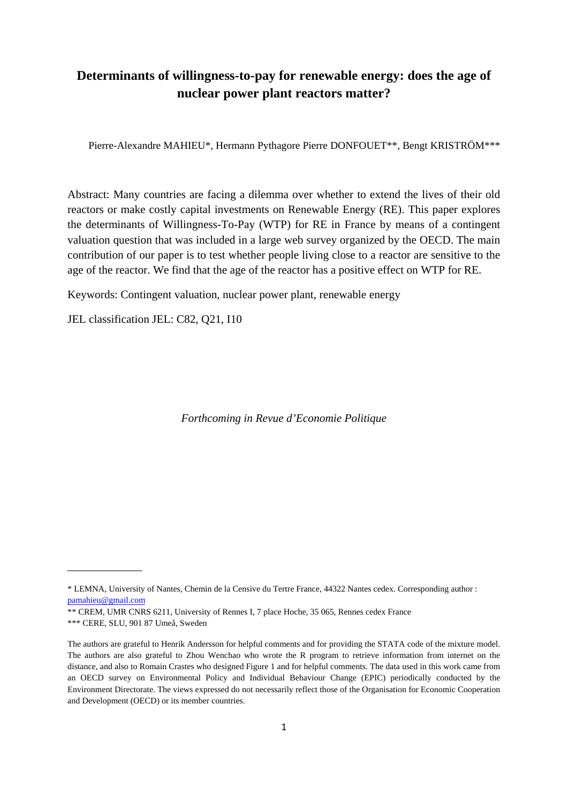## **Determinants of willingness-to-pay for renewable energy: does the age of nuclear power plant reactors matter?**

Pierre-Alexandre MAHIEU\*, Hermann Pythagore Pierre DONFOUET\*\*, Bengt KRISTRÖM\*\*\*

Abstract: Many countries are facing a dilemma over whether to extend the lives of their old reactors or make costly capital investments on Renewable Energy (RE). This paper explores the determinants of Willingness-To-Pay (WTP) for RE in France by means of a contingent valuation question that was included in a large web survey organized by the OECD. The main contribution of our paper is to test whether people living close to a reactor are sensitive to the age of the reactor. We find that the age of the reactor has a positive effect on WTP for RE.

Keywords: Contingent valuation, nuclear power plant, renewable energy

JEL classification JEL: C82, Q21, I10

*Forthcoming in Revue d'Economie Politique*

\_\_\_\_\_\_\_\_\_\_\_\_\_

<sup>\*</sup> LEMNA, University of Nantes, Chemin de la Censive du Tertre France, 44322 Nantes cedex. Corresponding author : [pamahieu@gmail.com](mailto:pamahieu@gmail.com)

<sup>\*\*</sup> CREM, UMR CNRS 6211, University of Rennes I, 7 place Hoche, 35 065, Rennes cedex France

<sup>\*\*\*</sup> CERE, SLU, 901 87 Umeå, Sweden

The authors are grateful to Henrik Andersson for helpful comments and for providing the STATA code of the mixture model. The authors are also grateful to Zhou Wenchao who wrote the R program to retrieve information from internet on the distance, and also to Romain Crastes who designed Figure 1 and for helpful comments. The data used in this work came from an OECD survey on Environmental Policy and Individual Behaviour Change (EPIC) periodically conducted by the Environment Directorate. The views expressed do not necessarily reflect those of the Organisation for Economic Cooperation and Development (OECD) or its member countries.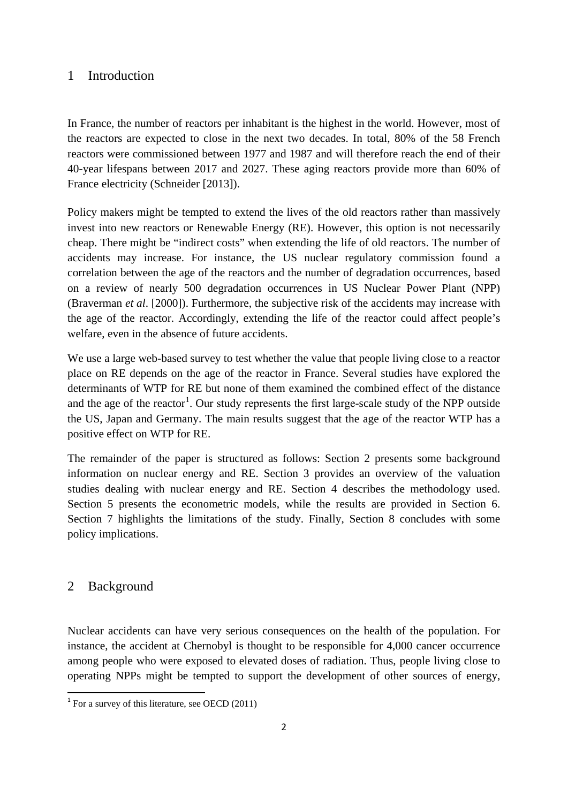## 1 Introduction

In France, the number of reactors per inhabitant is the highest in the world. However, most of the reactors are expected to close in the next two decades. In total, 80% of the 58 French reactors were commissioned between 1977 and 1987 and will therefore reach the end of their 40-year lifespans between 2017 and 2027. These aging reactors provide more than 60% of France electricity (Schneider [2013]).

Policy makers might be tempted to extend the lives of the old reactors rather than massively invest into new reactors or Renewable Energy (RE). However, this option is not necessarily cheap. There might be "indirect costs" when extending the life of old reactors. The number of accidents may increase. For instance, the US nuclear regulatory commission found a correlation between the age of the reactors and the number of degradation occurrences, based on a review of nearly 500 degradation occurrences in US Nuclear Power Plant (NPP) (Braverman *et al*. [2000]). Furthermore, the subjective risk of the accidents may increase with the age of the reactor. Accordingly, extending the life of the reactor could affect people's welfare, even in the absence of future accidents.

We use a large web-based survey to test whether the value that people living close to a reactor place on RE depends on the age of the reactor in France. Several studies have explored the determinants of WTP for RE but none of them examined the combined effect of the distance and the age of the reactor<sup>[1](#page-2-0)</sup>. Our study represents the first large-scale study of the NPP outside the US, Japan and Germany. The main results suggest that the age of the reactor WTP has a positive effect on WTP for RE.

The remainder of the paper is structured as follows: Section 2 presents some background information on nuclear energy and RE. Section 3 provides an overview of the valuation studies dealing with nuclear energy and RE. Section 4 describes the methodology used. Section 5 presents the econometric models, while the results are provided in Section 6. Section 7 highlights the limitations of the study. Finally, Section 8 concludes with some policy implications.

## 2 Background

Nuclear accidents can have very serious consequences on the health of the population. For instance, the accident at Chernobyl is thought to be responsible for 4,000 cancer occurrence among people who were exposed to elevated doses of radiation. Thus, people living close to operating NPPs might be tempted to support the development of other sources of energy,

<span id="page-2-0"></span> $1$  For a survey of this literature, see OECD (2011)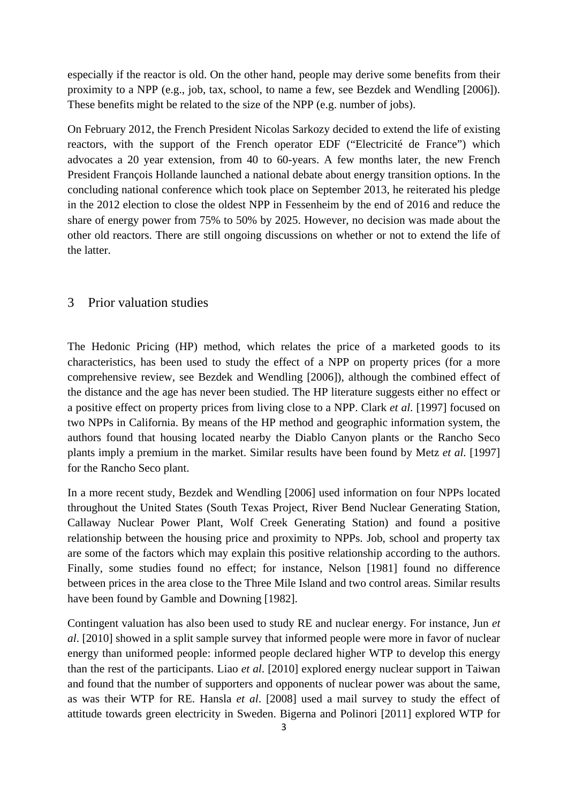especially if the reactor is old. On the other hand, people may derive some benefits from their proximity to a NPP (e.g., job, tax, school, to name a few, see Bezdek and Wendling [2006]). These benefits might be related to the size of the NPP (e.g. number of jobs).

On February 2012, the French President Nicolas Sarkozy decided to extend the life of existing reactors, with the support of the French operator EDF ("Electricité de France") which advocates a 20 year extension, from 40 to 60-years. A few months later, the new French President François Hollande launched a national debate about energy transition options. In the concluding national conference which took place on September 2013, he reiterated his pledge in the 2012 election to close the oldest NPP in Fessenheim by the end of 2016 and reduce the share of energy power from 75% to 50% by 2025. However, no decision was made about the other old reactors. There are still ongoing discussions on whether or not to extend the life of the latter.

#### 3 Prior valuation studies

The Hedonic Pricing (HP) method, which relates the price of a marketed goods to its characteristics, has been used to study the effect of a NPP on property prices (for a more comprehensive review, see Bezdek and Wendling [2006]), although the combined effect of the distance and the age has never been studied. The HP literature suggests either no effect or a positive effect on property prices from living close to a NPP. Clark *et al*. [1997] focused on two NPPs in California. By means of the HP method and geographic information system, the authors found that housing located nearby the Diablo Canyon plants or the Rancho Seco plants imply a premium in the market. Similar results have been found by Metz *et al*. [1997] for the Rancho Seco plant.

In a more recent study, Bezdek and Wendling [2006] used information on four NPPs located throughout the United States (South Texas Project, River Bend Nuclear Generating Station, Callaway Nuclear Power Plant, Wolf Creek Generating Station) and found a positive relationship between the housing price and proximity to NPPs. Job, school and property tax are some of the factors which may explain this positive relationship according to the authors. Finally, some studies found no effect; for instance, Nelson [1981] found no difference between prices in the area close to the Three Mile Island and two control areas. Similar results have been found by Gamble and Downing [1982].

Contingent valuation has also been used to study RE and nuclear energy. For instance, Jun *et al*. [2010] showed in a split sample survey that informed people were more in favor of nuclear energy than uniformed people: informed people declared higher WTP to develop this energy than the rest of the participants. Liao *et al*. [2010] explored energy nuclear support in Taiwan and found that the number of supporters and opponents of nuclear power was about the same, as was their WTP for RE. Hansla *et al*. [2008] used a mail survey to study the effect of attitude towards green electricity in Sweden. Bigerna and Polinori [2011] explored WTP for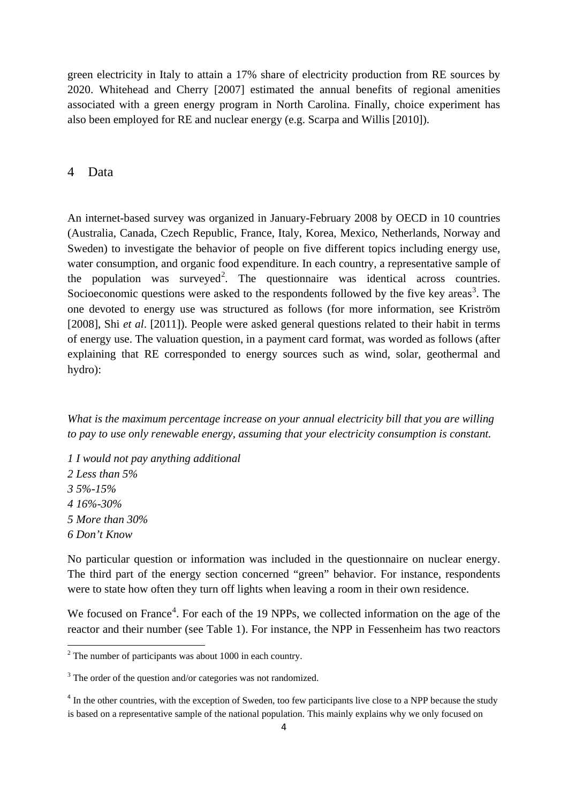green electricity in Italy to attain a 17% share of electricity production from RE sources by 2020. Whitehead and Cherry [2007] estimated the annual benefits of regional amenities associated with a green energy program in North Carolina. Finally, choice experiment has also been employed for RE and nuclear energy (e.g. Scarpa and Willis [2010]).

#### 4 Data

An internet-based survey was organized in January-February 2008 by OECD in 10 countries (Australia, Canada, Czech Republic, France, Italy, Korea, Mexico, Netherlands, Norway and Sweden) to investigate the behavior of people on five different topics including energy use, water consumption, and organic food expenditure. In each country, a representative sample of the population was surveyed<sup>[2](#page-4-0)</sup>. The questionnaire was identical across countries. Socioeconomic questions were asked to the respondents followed by the five key areas<sup>[3](#page-4-1)</sup>. The one devoted to energy use was structured as follows (for more information, see Kriström [2008], Shi *et al*. [2011]). People were asked general questions related to their habit in terms of energy use. The valuation question, in a payment card format, was worded as follows (after explaining that RE corresponded to energy sources such as wind, solar, geothermal and hydro):

*What is the maximum percentage increase on your annual electricity bill that you are willing to pay to use only renewable energy, assuming that your electricity consumption is constant.* 

*1 I would not pay anything additional 2 Less than 5% 3 5%-15% 4 16%-30% 5 More than 30% 6 Don't Know* 

**.** 

No particular question or information was included in the questionnaire on nuclear energy. The third part of the energy section concerned "green" behavior. For instance, respondents were to state how often they turn off lights when leaving a room in their own residence.

We focused on France<sup>[4](#page-4-2)</sup>. For each of the 19 NPPs, we collected information on the age of the reactor and their number (see Table 1). For instance, the NPP in Fessenheim has two reactors

<span id="page-4-0"></span> $2$  The number of participants was about 1000 in each country.

<span id="page-4-1"></span><sup>&</sup>lt;sup>3</sup> The order of the question and/or categories was not randomized.

<span id="page-4-2"></span><sup>&</sup>lt;sup>4</sup> In the other countries, with the exception of Sweden, too few participants live close to a NPP because the study is based on a representative sample of the national population. This mainly explains why we only focused on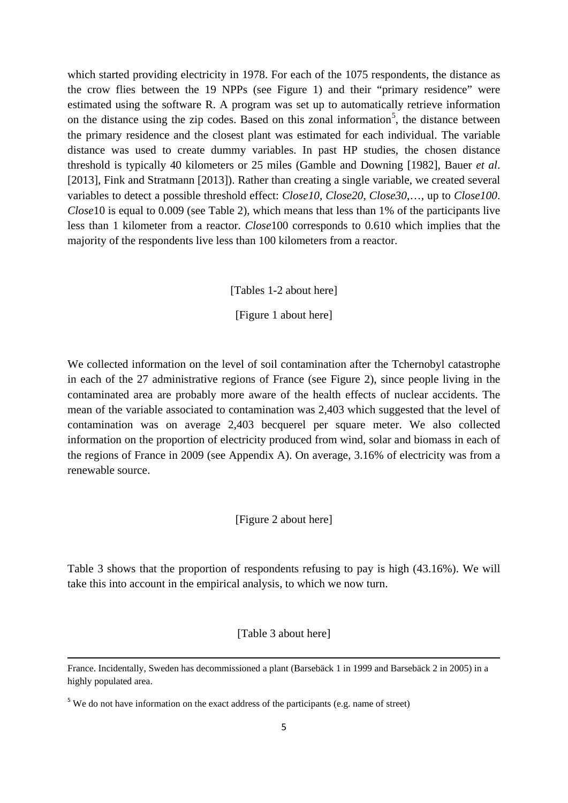which started providing electricity in 1978. For each of the 1075 respondents, the distance as the crow flies between the 19 NPPs (see Figure 1) and their "primary residence" were estimated using the software R. A program was set up to automatically retrieve information on the distance using the zip codes. Based on this zonal information<sup>[5](#page-5-0)</sup>, the distance between the primary residence and the closest plant was estimated for each individual. The variable distance was used to create dummy variables. In past HP studies, the chosen distance threshold is typically 40 kilometers or 25 miles (Gamble and Downing [1982], Bauer *et al*. [2013], Fink and Stratmann [2013]). Rather than creating a single variable, we created several variables to detect a possible threshold effect: *Close10*, *Close20*, *Close30*,…, up to *Close100*. *Close*10 is equal to 0.009 (see Table 2), which means that less than 1% of the participants live less than 1 kilometer from a reactor. *Close*100 corresponds to 0.610 which implies that the majority of the respondents live less than 100 kilometers from a reactor.

[Tables 1-2 about here]

[Figure 1 about here]

We collected information on the level of soil contamination after the Tchernobyl catastrophe in each of the 27 administrative regions of France (see Figure 2), since people living in the contaminated area are probably more aware of the health effects of nuclear accidents. The mean of the variable associated to contamination was 2,403 which suggested that the level of contamination was on average 2,403 becquerel per square meter. We also collected information on the proportion of electricity produced from wind, solar and biomass in each of the regions of France in 2009 (see Appendix A). On average, 3.16% of electricity was from a renewable source.

#### [Figure 2 about here]

Table 3 shows that the proportion of respondents refusing to pay is high (43.16%). We will take this into account in the empirical analysis, to which we now turn.

#### [Table 3 about here]

**.** 

France. Incidentally, Sweden has decommissioned a plant (Barsebäck 1 in 1999 and Barsebäck 2 in 2005) in a highly populated area.

<span id="page-5-0"></span><sup>&</sup>lt;sup>5</sup> We do not have information on the exact address of the participants (e.g. name of street)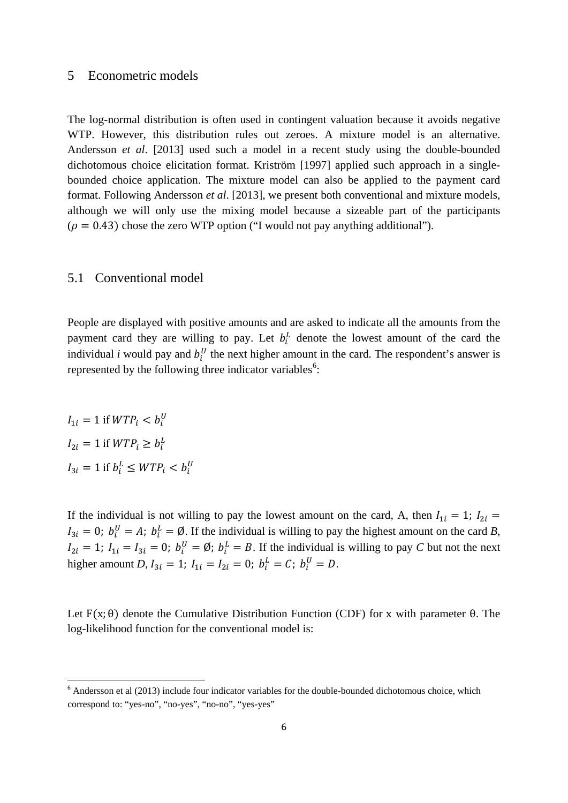#### 5 Econometric models

The log-normal distribution is often used in contingent valuation because it avoids negative WTP. However, this distribution rules out zeroes. A mixture model is an alternative. Andersson *et al*. [2013] used such a model in a recent study using the double-bounded dichotomous choice elicitation format. Kriström [1997] applied such approach in a singlebounded choice application. The mixture model can also be applied to the payment card format. Following Andersson *et al*. [2013], we present both conventional and mixture models, although we will only use the mixing model because a sizeable part of the participants  $(\rho = 0.43)$  chose the zero WTP option ("I would not pay anything additional").

#### 5.1 Conventional model

People are displayed with positive amounts and are asked to indicate all the amounts from the payment card they are willing to pay. Let  $b_i^L$  denote the lowest amount of the card the individual *i* would pay and  $b_i^U$  the next higher amount in the card. The respondent's answer is represented by the following three indicator variables<sup>[6](#page-6-0)</sup>:

 $I_{1i} = 1$  if  $WTP_i < b_i^U$  $I_{2i} = 1$  if  $WTP_i \ge b_i^L$  $I_{3i} = 1$  if  $b_i^L \leq WTP_i < b_i^U$ 

If the individual is not willing to pay the lowest amount on the card, A, then  $I_{1i} = 1$ ;  $I_{2i} =$  $I_{3i} = 0$ ;  $b_i^U = A$ ;  $b_i^L = \emptyset$ . If the individual is willing to pay the highest amount on the card *B*,  $I_{2i} = 1$ ;  $I_{1i} = I_{3i} = 0$ ;  $b_i^U = \emptyset$ ;  $b_i^L = B$ . If the individual is willing to pay *C* but not the next higher amount *D*,  $I_{3i} = 1$ ;  $I_{1i} = I_{2i} = 0$ ;  $b_i^L = C$ ;  $b_i^U = D$ .

Let  $F(x; \theta)$  denote the Cumulative Distribution Function (CDF) for x with parameter  $\theta$ . The log-likelihood function for the conventional model is:

<span id="page-6-0"></span><sup>&</sup>lt;sup>6</sup> Andersson et al (2013) include four indicator variables for the double-bounded dichotomous choice, which correspond to: "yes-no", "no-yes", "no-no", "yes-yes"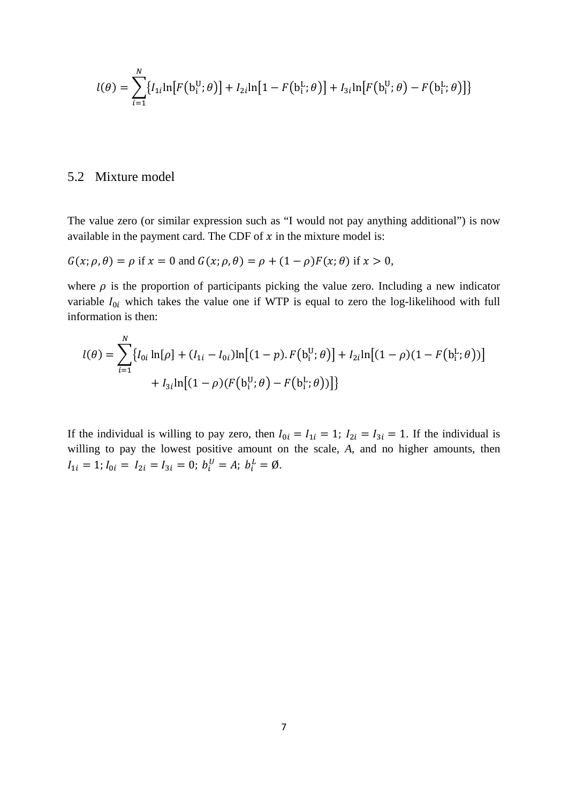$$
l(\theta) = \sum_{i=1}^{N} \{ l_{1i} \ln \big[ F(b_i^{\text{U}}; \theta) \big] + l_{2i} \ln \big[ 1 - F(b_i^{\text{L}}; \theta) \big] + l_{3i} \ln \big[ F(b_i^{\text{U}}; \theta) - F(b_i^{\text{L}}; \theta) \big] \}
$$

## 5.2 Mixture model

The value zero (or similar expression such as "I would not pay anything additional") is now available in the payment card. The CDF of  $x$  in the mixture model is:

$$
G(x; \rho, \theta) = \rho \text{ if } x = 0 \text{ and } G(x; \rho, \theta) = \rho + (1 - \rho)F(x; \theta) \text{ if } x > 0,
$$

where  $\rho$  is the proportion of participants picking the value zero. Including a new indicator variable  $I_{0i}$  which takes the value one if WTP is equal to zero the log-likelihood with full information is then:

$$
l(\theta) = \sum_{i=1}^{N} \{ l_{0i} \ln[\rho] + (l_{1i} - l_{0i}) \ln[(1 - p) \cdot F(b_i^U; \theta)] + l_{2i} \ln[(1 - \rho)(1 - F(b_i^L; \theta))]
$$
  
+ 
$$
l_{3i} \ln[(1 - \rho)(F(b_i^U; \theta) - F(b_i^L; \theta))]
$$

If the individual is willing to pay zero, then  $I_{0i} = I_{1i} = 1$ ;  $I_{2i} = I_{3i} = 1$ . If the individual is willing to pay the lowest positive amount on the scale, *A*, and no higher amounts, then  $I_{1i} = 1; I_{0i} = I_{2i} = I_{3i} = 0; b_i^U = A; b_i^L = \emptyset.$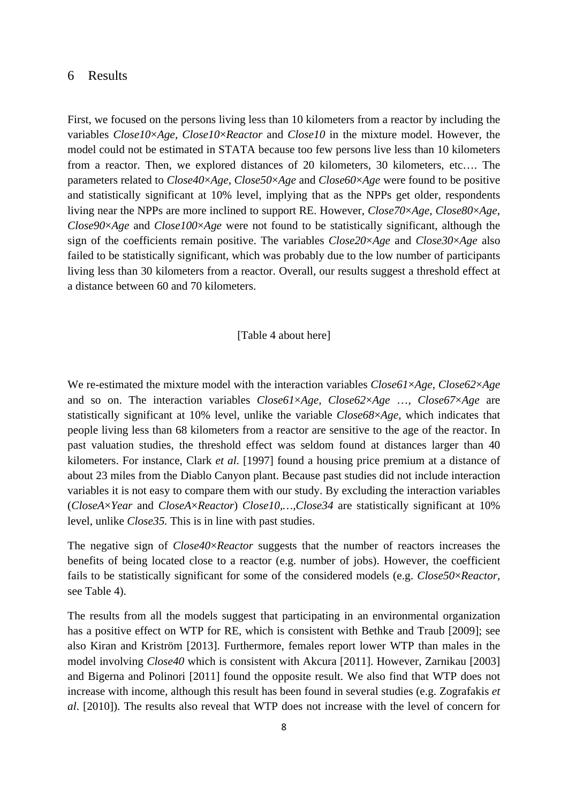## 6 Results

First, we focused on the persons living less than 10 kilometers from a reactor by including the variables *Close10*×*Age, Close10*×*Reactor* and *Close10* in the mixture model. However, the model could not be estimated in STATA because too few persons live less than 10 kilometers from a reactor. Then, we explored distances of 20 kilometers, 30 kilometers, etc…. The parameters related to *Close40*×*Age*, *Close50*×*Age* and *Close60*×*Age* were found to be positive and statistically significant at 10% level, implying that as the NPPs get older, respondents living near the NPPs are more inclined to support RE. However, *Close70*×*Age*, *Close80*×*Age*, *Close90*×*Age* and *Close100*×*Age* were not found to be statistically significant, although the sign of the coefficients remain positive. The variables *Close20*×*Age* and *Close30*×*Age* also failed to be statistically significant, which was probably due to the low number of participants living less than 30 kilometers from a reactor. Overall, our results suggest a threshold effect at a distance between 60 and 70 kilometers.

#### [Table 4 about here]

We re-estimated the mixture model with the interaction variables *Close61*×*Age*, *Close62*×*Age* and so on. The interaction variables *Close61*×*Age, Close62*×*Age* …, *Close67*×*Age* are statistically significant at 10% level, unlike the variable *Close68*×*Age*, which indicates that people living less than 68 kilometers from a reactor are sensitive to the age of the reactor. In past valuation studies, the threshold effect was seldom found at distances larger than 40 kilometers. For instance, Clark *et al*. [1997] found a housing price premium at a distance of about 23 miles from the Diablo Canyon plant. Because past studies did not include interaction variables it is not easy to compare them with our study. By excluding the interaction variables (*CloseA*×*Year* and *CloseA*×*Reactor*) *Close10,…,Close34* are statistically significant at 10% level, unlike *Close35.* This is in line with past studies.

The negative sign of *Close40*×*Reactor* suggests that the number of reactors increases the benefits of being located close to a reactor (e.g. number of jobs). However, the coefficient fails to be statistically significant for some of the considered models (e.g. *Close50*×*Reactor,*  see Table 4).

The results from all the models suggest that participating in an environmental organization has a positive effect on WTP for RE, which is consistent with Bethke and Traub [2009]; see also Kiran and Kriström [2013]. Furthermore, females report lower WTP than males in the model involving *Close40* which is consistent with Akcura [2011]. However, Zarnikau [2003] and Bigerna and Polinori [2011] found the opposite result. We also find that WTP does not increase with income, although this result has been found in several studies (e.g. Zografakis *et al*. [2010]). The results also reveal that WTP does not increase with the level of concern for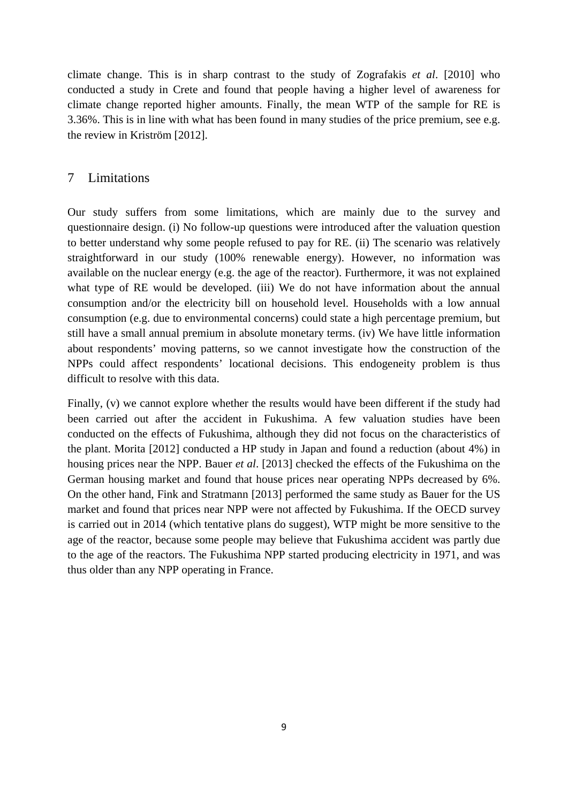climate change. This is in sharp contrast to the study of Zografakis *et al*. [2010] who conducted a study in Crete and found that people having a higher level of awareness for climate change reported higher amounts. Finally, the mean WTP of the sample for RE is 3.36%. This is in line with what has been found in many studies of the price premium, see e.g. the review in Kriström [2012].

## 7 Limitations

Our study suffers from some limitations, which are mainly due to the survey and questionnaire design. (i) No follow-up questions were introduced after the valuation question to better understand why some people refused to pay for RE. (ii) The scenario was relatively straightforward in our study (100% renewable energy). However, no information was available on the nuclear energy (e.g. the age of the reactor). Furthermore, it was not explained what type of RE would be developed. (iii) We do not have information about the annual consumption and/or the electricity bill on household level. Households with a low annual consumption (e.g. due to environmental concerns) could state a high percentage premium, but still have a small annual premium in absolute monetary terms. (iv) We have little information about respondents' moving patterns, so we cannot investigate how the construction of the NPPs could affect respondents' locational decisions. This endogeneity problem is thus difficult to resolve with this data.

Finally, (v) we cannot explore whether the results would have been different if the study had been carried out after the accident in Fukushima. A few valuation studies have been conducted on the effects of Fukushima, although they did not focus on the characteristics of the plant. Morita [2012] conducted a HP study in Japan and found a reduction (about 4%) in housing prices near the NPP. Bauer *et al*. [2013] checked the effects of the Fukushima on the German housing market and found that house prices near operating NPPs decreased by 6%. On the other hand, Fink and Stratmann [2013] performed the same study as Bauer for the US market and found that prices near NPP were not affected by Fukushima. If the OECD survey is carried out in 2014 (which tentative plans do suggest), WTP might be more sensitive to the age of the reactor, because some people may believe that Fukushima accident was partly due to the age of the reactors. The Fukushima NPP started producing electricity in 1971, and was thus older than any NPP operating in France.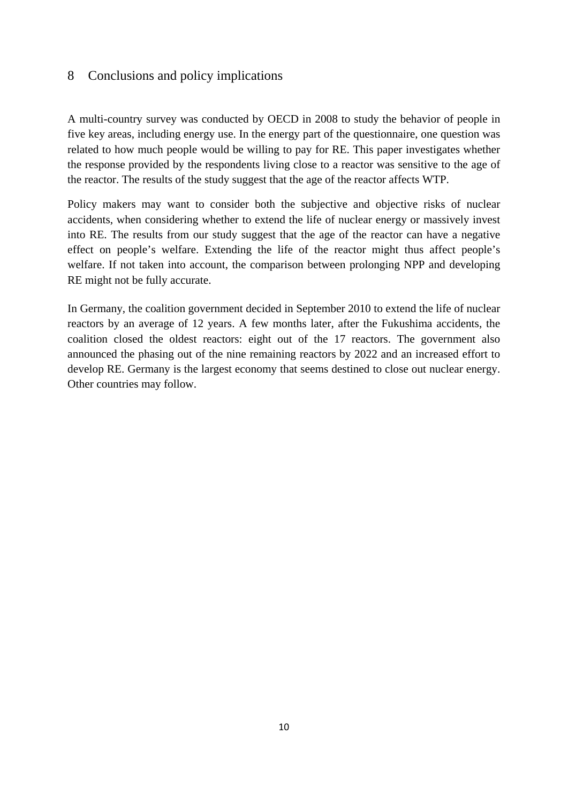## 8 Conclusions and policy implications

A multi-country survey was conducted by OECD in 2008 to study the behavior of people in five key areas, including energy use. In the energy part of the questionnaire, one question was related to how much people would be willing to pay for RE. This paper investigates whether the response provided by the respondents living close to a reactor was sensitive to the age of the reactor. The results of the study suggest that the age of the reactor affects WTP.

Policy makers may want to consider both the subjective and objective risks of nuclear accidents, when considering whether to extend the life of nuclear energy or massively invest into RE. The results from our study suggest that the age of the reactor can have a negative effect on people's welfare. Extending the life of the reactor might thus affect people's welfare. If not taken into account, the comparison between prolonging NPP and developing RE might not be fully accurate.

In Germany, the coalition government decided in September 2010 to extend the life of nuclear reactors by an average of 12 years. A few months later, after the Fukushima accidents, the coalition closed the oldest reactors: eight out of the 17 reactors. The government also announced the phasing out of the nine remaining reactors by 2022 and an increased effort to develop RE. Germany is the largest economy that seems destined to close out nuclear energy. Other countries may follow.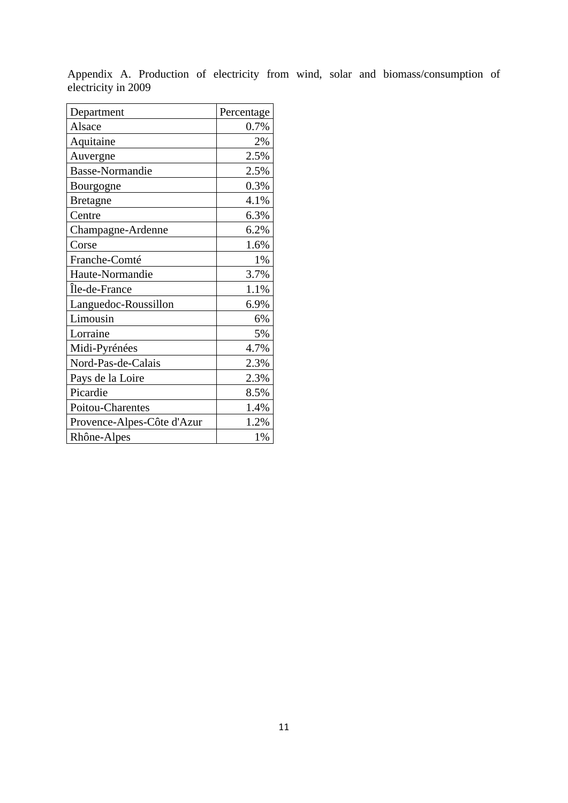| Department                 | Percentage |
|----------------------------|------------|
| Alsace                     | 0.7%       |
| Aquitaine                  | 2%         |
| Auvergne                   | 2.5%       |
| <b>Basse-Normandie</b>     | 2.5%       |
| Bourgogne                  | 0.3%       |
| <b>Bretagne</b>            | 4.1%       |
| Centre                     | 6.3%       |
| Champagne-Ardenne          | 6.2%       |
| Corse                      | 1.6%       |
| Franche-Comté              | 1%         |
| Haute-Normandie            | 3.7%       |
| Île-de-France              | 1.1%       |
| Languedoc-Roussillon       | 6.9%       |
| Limousin                   | 6%         |
| Lorraine                   | 5%         |
| Midi-Pyrénées              | 4.7%       |
| Nord-Pas-de-Calais         | 2.3%       |
| Pays de la Loire           | 2.3%       |
| Picardie                   | 8.5%       |
| Poitou-Charentes           | 1.4%       |
| Provence-Alpes-Côte d'Azur | 1.2%       |
| Rhône-Alpes                | 1%         |

Appendix A. Production of electricity from wind, solar and biomass/consumption of electricity in 2009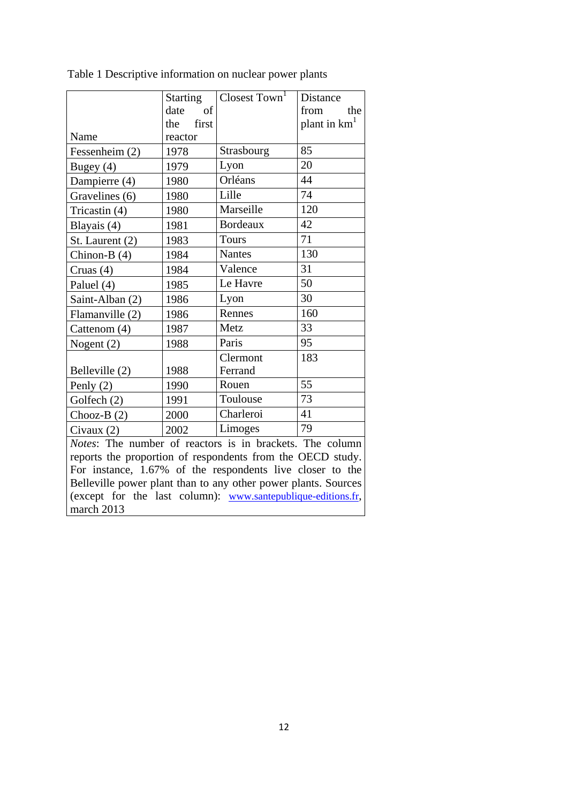|                                                                | Starting     | Closest Town <sup>1</sup> | Distance                 |  |
|----------------------------------------------------------------|--------------|---------------------------|--------------------------|--|
|                                                                | date<br>of   |                           | from<br>the              |  |
|                                                                | first<br>the |                           | plant in km <sup>1</sup> |  |
| Name                                                           | reactor      |                           |                          |  |
| Fessenheim (2)                                                 | 1978         | Strasbourg                | 85                       |  |
| Bugey $(4)$                                                    | 1979         | Lyon                      | 20                       |  |
| Dampierre (4)                                                  | 1980         | Orléans                   | 44                       |  |
| Gravelines (6)                                                 | 1980         | Lille                     | 74                       |  |
| Tricastin (4)                                                  | 1980         | Marseille                 | 120                      |  |
| Blayais (4)                                                    | 1981         | <b>Bordeaux</b>           | 42                       |  |
| St. Laurent (2)                                                | 1983         | <b>Tours</b>              | 71                       |  |
| Chinon-B $(4)$                                                 | 1984         | <b>Nantes</b>             | 130                      |  |
| Cruas (4)                                                      | 1984         | Valence                   | 31                       |  |
| Paluel (4)                                                     | 1985         | Le Havre                  | 50                       |  |
| Saint-Alban (2)                                                | 1986         | Lyon                      | 30                       |  |
| Flamanville (2)                                                | 1986         | Rennes                    | 160                      |  |
| Cattenom (4)                                                   | 1987         | Metz                      | 33                       |  |
| Nogent $(2)$                                                   | 1988         | Paris                     | 95                       |  |
|                                                                |              | Clermont                  | 183                      |  |
| Belleville (2)                                                 | 1988         | Ferrand                   |                          |  |
| Penly $(2)$                                                    | 1990         | Rouen                     | 55                       |  |
| Golfech (2)                                                    | 1991         | Toulouse                  | 73                       |  |
| Chooz-B $(2)$                                                  | 2000         | Charleroi                 | 41                       |  |
| Civaux $(2)$                                                   | 2002         | Limoges                   | 79                       |  |
| Notes: The number of reactors is in brackets. The column       |              |                           |                          |  |
| reports the proportion of respondents from the OECD study.     |              |                           |                          |  |
| For instance, 1.67% of the respondents live closer to the      |              |                           |                          |  |
| Belleville power plant than to any other power plants. Sources |              |                           |                          |  |

(except for the last column): [www.santepublique-editions.fr,](http://www.santepublique-editions.fr/)

march 2013

Table 1 Descriptive information on nuclear power plants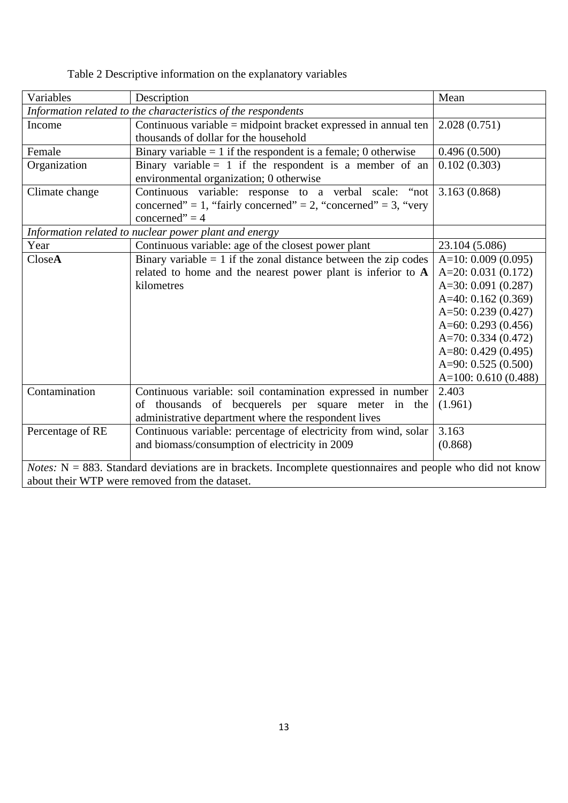| Table 2 Descriptive information on the explanatory variables |  |  |  |
|--------------------------------------------------------------|--|--|--|
|--------------------------------------------------------------|--|--|--|

| Variables                                                                                                            | Description                                                                                        | Mean                   |  |
|----------------------------------------------------------------------------------------------------------------------|----------------------------------------------------------------------------------------------------|------------------------|--|
| Information related to the characteristics of the respondents                                                        |                                                                                                    |                        |  |
| Income                                                                                                               | Continuous variable = midpoint bracket expressed in annual ten                                     | 2.028(0.751)           |  |
|                                                                                                                      | thousands of dollar for the household                                                              |                        |  |
| Female                                                                                                               | Binary variable $= 1$ if the respondent is a female; 0 otherwise                                   | 0.496(0.500)           |  |
| Organization                                                                                                         | Binary variable = 1 if the respondent is a member of an<br>environmental organization; 0 otherwise | 0.102(0.303)           |  |
|                                                                                                                      |                                                                                                    |                        |  |
| Climate change                                                                                                       | Continuous variable: response to a verbal scale: "not                                              | 3.163(0.868)           |  |
|                                                                                                                      | concerned" = 1, "fairly concerned" = 2, "concerned" = 3, "very                                     |                        |  |
|                                                                                                                      | concerned" = $4$                                                                                   |                        |  |
|                                                                                                                      | Information related to nuclear power plant and energy                                              |                        |  |
| Year                                                                                                                 | Continuous variable: age of the closest power plant                                                | 23.104 (5.086)         |  |
| CloseA                                                                                                               | Binary variable $= 1$ if the zonal distance between the zip codes                                  | $A=10: 0.009(0.095)$   |  |
|                                                                                                                      | related to home and the nearest power plant is inferior to A                                       | $A=20: 0.031(0.172)$   |  |
|                                                                                                                      | kilometres                                                                                         | A=30: $0.091(0.287)$   |  |
|                                                                                                                      |                                                                                                    | A=40: $0.162(0.369)$   |  |
|                                                                                                                      |                                                                                                    | A=50: $0.239(0.427)$   |  |
|                                                                                                                      |                                                                                                    | A= $60: 0.293(0.456)$  |  |
|                                                                                                                      |                                                                                                    | A=70: $0.334(0.472)$   |  |
|                                                                                                                      |                                                                                                    | A=80: $0.429(0.495)$   |  |
|                                                                                                                      |                                                                                                    | A=90: $0.525(0.500)$   |  |
|                                                                                                                      |                                                                                                    | A= $100: 0.610(0.488)$ |  |
| Contamination                                                                                                        | Continuous variable: soil contamination expressed in number                                        | 2.403                  |  |
|                                                                                                                      | of thousands of becquerels per square meter in the                                                 | (1.961)                |  |
|                                                                                                                      | administrative department where the respondent lives                                               |                        |  |
| Percentage of RE                                                                                                     | Continuous variable: percentage of electricity from wind, solar                                    | 3.163                  |  |
|                                                                                                                      | and biomass/consumption of electricity in 2009                                                     | (0.868)                |  |
| <i>Notes:</i> $N = 883$ . Standard deviations are in brackets. Incomplete questionnaires and people who did not know |                                                                                                    |                        |  |
|                                                                                                                      |                                                                                                    |                        |  |
| about their WTP were removed from the dataset.                                                                       |                                                                                                    |                        |  |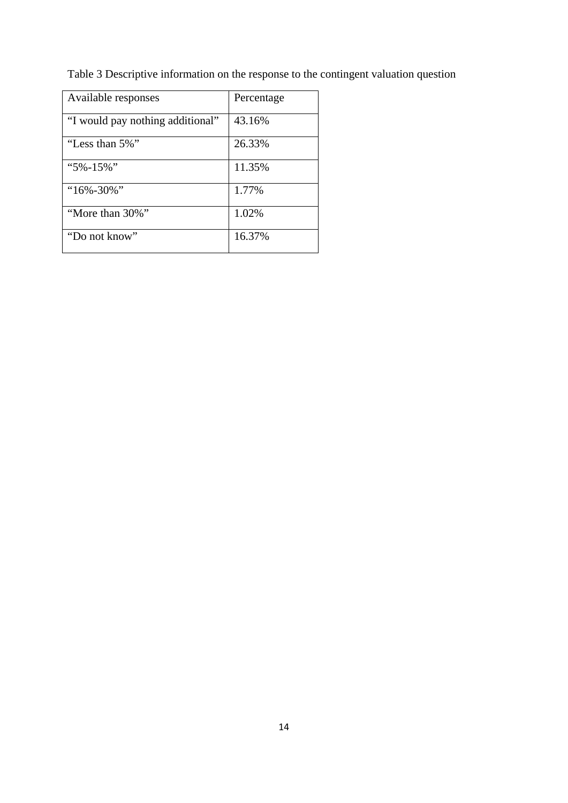Table 3 Descriptive information on the response to the contingent valuation question

| Available responses              | Percentage |
|----------------------------------|------------|
| "I would pay nothing additional" | 43.16%     |
| "Less than 5%"                   | 26.33%     |
| " $5\% - 15\%$ "                 | 11.35%     |
| "16%-30%"                        | 1.77%      |
| "More than 30%"                  | 1.02%      |
| "Do not know"                    | 16.37%     |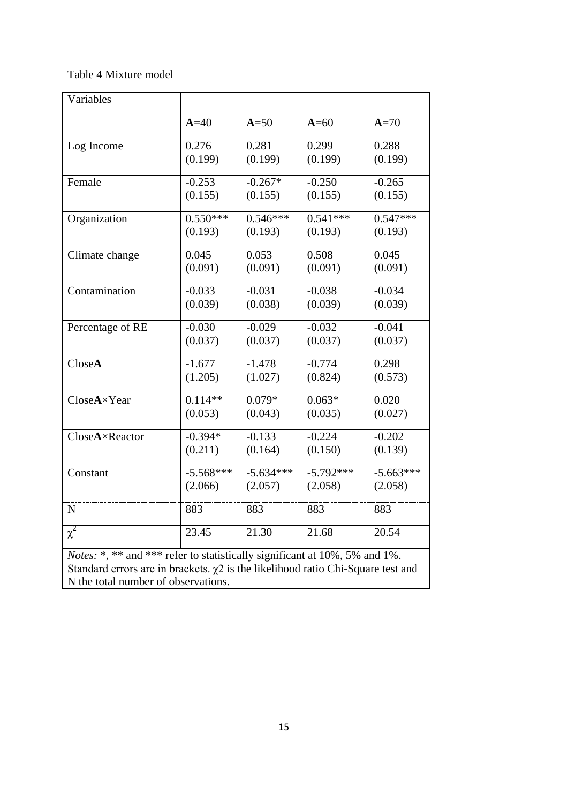## Table 4 Mixture model

| Variables                                                                                                                                                                                                         |             |             |             |             |
|-------------------------------------------------------------------------------------------------------------------------------------------------------------------------------------------------------------------|-------------|-------------|-------------|-------------|
|                                                                                                                                                                                                                   | $A=40$      | $A=50$      | $A=60$      | $A=70$      |
| Log Income                                                                                                                                                                                                        | 0.276       | 0.281       | 0.299       | 0.288       |
|                                                                                                                                                                                                                   | (0.199)     | (0.199)     | (0.199)     | (0.199)     |
| Female                                                                                                                                                                                                            | $-0.253$    | $-0.267*$   | $-0.250$    | $-0.265$    |
|                                                                                                                                                                                                                   | (0.155)     | (0.155)     | (0.155)     | (0.155)     |
| Organization                                                                                                                                                                                                      | $0.550***$  | $0.546***$  | $0.541***$  | $0.547***$  |
|                                                                                                                                                                                                                   | (0.193)     | (0.193)     | (0.193)     | (0.193)     |
| Climate change                                                                                                                                                                                                    | 0.045       | 0.053       | 0.508       | 0.045       |
|                                                                                                                                                                                                                   | (0.091)     | (0.091)     | (0.091)     | (0.091)     |
| Contamination                                                                                                                                                                                                     | $-0.033$    | $-0.031$    | $-0.038$    | $-0.034$    |
|                                                                                                                                                                                                                   | (0.039)     | (0.038)     | (0.039)     | (0.039)     |
| Percentage of RE                                                                                                                                                                                                  | $-0.030$    | $-0.029$    | $-0.032$    | $-0.041$    |
|                                                                                                                                                                                                                   | (0.037)     | (0.037)     | (0.037)     | (0.037)     |
| CloseA                                                                                                                                                                                                            | $-1.677$    | $-1.478$    | $-0.774$    | 0.298       |
|                                                                                                                                                                                                                   | (1.205)     | (1.027)     | (0.824)     | (0.573)     |
| CloseA×Year                                                                                                                                                                                                       | $0.114**$   | $0.079*$    | $0.063*$    | 0.020       |
|                                                                                                                                                                                                                   | (0.053)     | (0.043)     | (0.035)     | (0.027)     |
| CloseA×Reactor                                                                                                                                                                                                    | $-0.394*$   | $-0.133$    | $-0.224$    | $-0.202$    |
|                                                                                                                                                                                                                   | (0.211)     | (0.164)     | (0.150)     | (0.139)     |
| Constant                                                                                                                                                                                                          | $-5.568***$ | $-5.634***$ | $-5.792***$ | $-5.663***$ |
|                                                                                                                                                                                                                   | (2.066)     | (2.057)     | (2.058)     | (2.058)     |
| $\mathbf N$                                                                                                                                                                                                       | 883         | 883         | 883         | 883         |
| $\chi^2$                                                                                                                                                                                                          | 23.45       | 21.30       | 21.68       | 20.54       |
| <i>Notes:</i> *, ** and *** refer to statistically significant at 10%, 5% and 1%.<br>Standard errors are in brackets. $\chi$ 2 is the likelihood ratio Chi-Square test and<br>N the total number of observations. |             |             |             |             |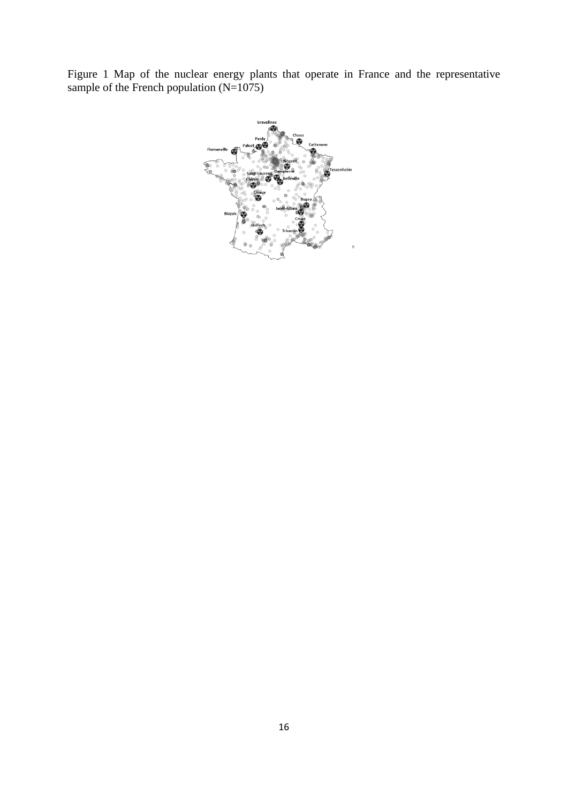Figure 1 Map of the nuclear energy plants that operate in France and the representative sample of the French population  $(N=1075)$ 

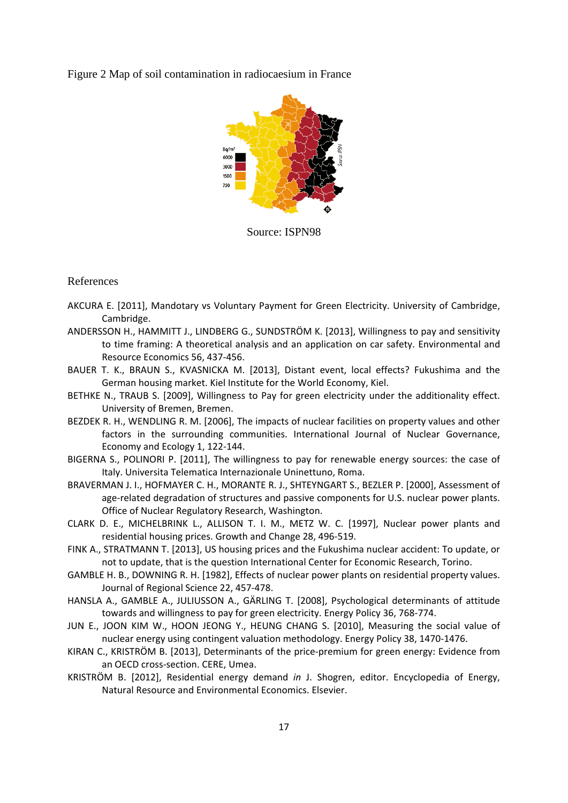Figure 2 Map of soil contamination in radiocaesium in France



Source: ISPN98

#### References

- AKCURA E. [2011], Mandotary vs Voluntary Payment for Green Electricity. University of Cambridge, Cambridge.
- ANDERSSON H., HAMMITT J., LINDBERG G., SUNDSTRÖM K. [2013], Willingness to pay and sensitivity to time framing: A theoretical analysis and an application on car safety. Environmental and Resource Economics 56, 437-456.
- BAUER T. K., BRAUN S., KVASNICKA M. [2013], Distant event, local effects? Fukushima and the German housing market. Kiel Institute for the World Economy, Kiel.
- BETHKE N., TRAUB S. [2009], Willingness to Pay for green electricity under the additionality effect. University of Bremen, Bremen.
- BEZDEK R. H., WENDLING R. M. [2006], The impacts of nuclear facilities on property values and other factors in the surrounding communities. International Journal of Nuclear Governance, Economy and Ecology 1, 122-144.
- BIGERNA S., POLINORI P. [2011], The willingness to pay for renewable energy sources: the case of Italy. Universita Telematica Internazionale Uninettuno, Roma.
- BRAVERMAN J. I., HOFMAYER C. H., MORANTE R. J., SHTEYNGART S., BEZLER P. [2000], Assessment of age-related degradation of structures and passive components for U.S. nuclear power plants. Office of Nuclear Regulatory Research, Washington.
- CLARK D. E., MICHELBRINK L., ALLISON T. I. M., METZ W. C. [1997], Nuclear power plants and residential housing prices. Growth and Change 28, 496-519.
- FINK A., STRATMANN T. [2013], US housing prices and the Fukushima nuclear accident: To update, or not to update, that is the question International Center for Economic Research, Torino.
- GAMBLE H. B., DOWNING R. H. [1982], Effects of nuclear power plants on residential property values. Journal of Regional Science 22, 457-478.
- HANSLA A., GAMBLE A., JULIUSSON A., GÄRLING T. [2008], Psychological determinants of attitude towards and willingness to pay for green electricity. Energy Policy 36, 768-774.
- JUN E., JOON KIM W., HOON JEONG Y., HEUNG CHANG S. [2010], Measuring the social value of nuclear energy using contingent valuation methodology. Energy Policy 38, 1470-1476.
- KIRAN C., KRISTRÖM B. [2013], Determinants of the price-premium for green energy: Evidence from an OECD cross-section. CERE, Umea.
- KRISTRÖM B. [2012], Residential energy demand *in* J. Shogren, editor. Encyclopedia of Energy, Natural Resource and Environmental Economics. Elsevier.